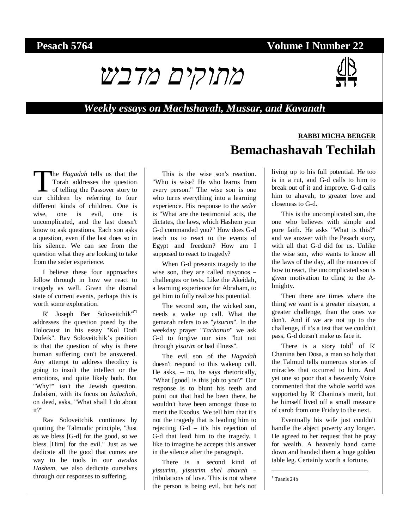#### **Pesach 5764 Volume I Number 22**



#### *Weekly essays on Machshavah, Mussar, and Kavanah*

# **RABBI MICHA BERGER Bemachashavah Techilah**

he *Hagadah* tells us that the Torah addresses the question of telling the Passover story to The *Hagadah* tells us that the Torah addresses the question of telling the Passover story to our children by referring to four different kinds of children. One is wise, one is evil, one is uncomplicated, and the last doesn't know to ask questions. Each son asks a question, even if the last does so in his silence. We can see from the question what they are looking to take from the seder experience.

I believe these four approaches follow through in how we react to tragedy as well. Given the dismal state of current events, perhaps this is worth some exploration.

 $R'$  Joseph Ber Soloveitchik<sup>zt"1</sup> addresses the question posed by the Holocaust in his essay "Kol Dodi Dofeik". Rav Soloveitchik's position is that the question of why is there human suffering can't be answered. Any attempt to address theodicy is going to insult the intellect or the emotions, and quite likely both. But "Why?" isn't the Jewish question. Judaism, with its focus on *halachah*, on deed, asks, "What shall I do about it?"

Rav Soloveitchik continues by quoting the Talmudic principle, "Just as we bless [G-d] for the good, so we bless [Him] for the evil." Just as we dedicate all the good that comes are way to be tools in our *avodas Hashem*, we also dedicate ourselves through our responses to suffering.

This is the wise son's reaction. "Who is wise? He who learns from every person." The wise son is one who turns everything into a learning experience. His response to the *seder* is "What are the testimonial acts, the dictates, the laws, which Hashem your G-d commanded you?" How does G-d teach us to react to the events of Egypt and freedom? How am I supposed to react to tragedy?

When G-d presents tragedy to the wise son, they are called nisyonos – challenges or tests. Like the Akeidah, a learning experience for Abraham, to get him to fully realize his potential.

The second son, the wicked son, needs a wake up call. What the gemarah refers to as "*yisurim*". In the weekday prayer "*Tachanun*" we ask G-d to forgive our sins "but not through *yisurim* or bad illness".

The evil son of the *Hagadah* doesn't respond to this wakeup call. He asks, – no, he says rhetorically, "What [good] is this job to you?" Our response is to blunt his teeth and point out that had he been there, he wouldn't have been amongst those to merit the Exodus. We tell him that it's not the tragedy that is leading him to rejecting G-d – it's his rejection of G-d that lead him to the tragedy. I like to imagine he accepts this answer in the silence after the paragraph.

There is a second kind of *yissurim*, *yissurim shel ahavah* – tribulations of love. This is not where the person is being evil, but he's not living up to his full potential. He too is in a rut, and G-d calls to him to break out of it and improve. G-d calls him to ahavah, to greater love and closeness to G-d.

This is the uncomplicated son, the one who believes with simple and pure faith. He asks "What is this?" and we answer with the Pesach story, with all that G-d did for us. Unlike the wise son, who wants to know all the laws of the day, all the nuances of how to react, the uncomplicated son is given motivation to cling to the Almighty.

Then there are times where the thing we want is a greater nisayon, a greater challenge, than the ones we don't. And if we are not up to the challenge, if it's a test that we couldn't pass, G-d doesn't make us face it.

There is a story told<sup>1</sup> of  $R'$ Chanina ben Dosa, a man so holy that the Talmud tells numerous stories of miracles that occurred to him. And yet one so poor that a heavenly Voice commented that the whole world was supported by R' Chanina's merit, but he himself lived off a small measure of carob from one Friday to the next.

Eventually his wife just couldn't handle the abject poverty any longer. He agreed to her request that he pray for wealth. A heavenly hand came down and handed them a huge golden table leg. Certainly worth a fortune.

 $1$  Taanis 24b

-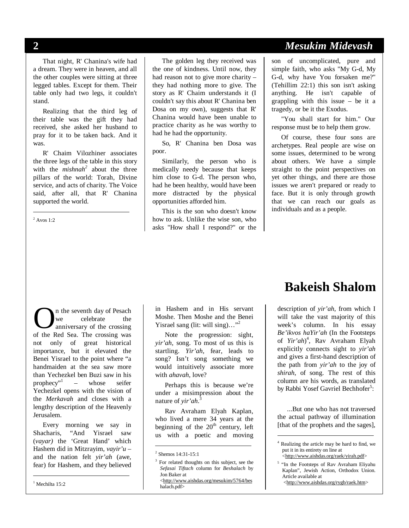That night, R' Chanina's wife had a dream. They were in heaven, and all the other couples were sitting at three legged tables. Except for them. Their table only had two legs, it couldn't stand.

Realizing that the third leg of their table was the gift they had received, she asked her husband to pray for it to be taken back. And it was.

R' Chaim Vilozhiner associates the three legs of the table in this story with the *mishnah<sup>2</sup>* about the three pillars of the world: Torah, Divine service, and acts of charity. The Voice said, after all, that R' Chanina supported the world.

 $2$  Avos 1:2

l

The golden leg they received was the one of kindness. Until now, they had reason not to give more charity – they had nothing more to give. The story as R' Chaim understands it (I couldn't say this about R' Chanina ben Dosa on my own), suggests that R' Chanina would have been unable to practice charity as he was worthy to had he had the opportunity.

So, R' Chanina ben Dosa was poor.

Similarly, the person who is medically needy because that keeps him close to G-d. The person who, had he been healthy, would have been more distracted by the physical opportunities afforded him.

This is the son who doesn't know how to ask. Unlike the wise son, who asks "How shall I respond?" or the

### **2** *Mesukim Midevash*

son of uncomplicated, pure and simple faith, who asks "My G-d, My G-d, why have You forsaken me?" (Tehillim 22:1) this son isn't asking anything. He isn't capable of grappling with this issue – be it a tragedy, or be it the Exodus.

"You shall start for him." Our response must be to help them grow.

Of course, these four sons are archetypes. Real people are wise on some issues, determined to be wrong about others. We have a simple straight to the point perspectives on yet other things, and there are those issues we aren't prepared or ready to face. But it is only through growth that we can reach our goals as individuals and as a people.

n the seventh day of Pesach we celebrate the anniversary of the crossing **O** in the seventh day of Pesach we celebrate the anniversary of the crossing was of the Red Sea. The crossing was not only of great historical importance, but it elevated the Benei Yisrael to the point where "a handmaiden at the sea saw more than Yechezkel ben Buzi saw in his prophecy"<sup>1</sup> – whose seifer Yechezkel opens with the vision of the *Merkavah* and closes with a lengthy description of the Heavenly Jerusalem.

Every morning we say in Shacharis, "And Yisrael saw (*vayar)* the 'Great Hand' which Hashem did in Mitzrayim, *vayir'u –*  and the nation felt *yir'ah* (awe, fear) for Hashem, and they believed

 $<sup>1</sup>$  Mechilta 15:2</sup>

l

in Hashem and in His servant Moshe. Then Moshe and the Benei Yisrael sang (lit: will sing)..."<sup>2</sup>

Note the progression: sight, *yir'ah*, song. To most of us this is startling. *Yir'ah*, fear, leads to song? Isn't song something we would intuitively associate more with *ahavah*, love?

Perhaps this is because we're under a misimpression about the nature of *yir'ah*. 3

Rav Avraham Elyah Kaplan, who lived a mere 34 years at the beginning of the  $20<sup>th</sup>$  century, left us with a poetic and moving

 $\overline{a}$ 

<sup>3</sup> For related thoughts on this subject, see the *Sefasai Tiftach* column for *Beshalach* by Jon Baker at [<http://www.aishdas.org/mesukim/5764/bes](http://www.aishdas.org/mesukim/5764/bes)

## **Bakeish Shalom**

description of *yir'ah*, from which I will take the vast majority of this week's column. In his essay *Be'ikvos haYir'ah* (In the Footsteps of *Yir'ah*) 4 , Rav Avraham Elyah explicitly connects sight to *yir'ah*  and gives a first-hand description of the path from *yir'ah* to the joy of *shirah*, of song. The rest of this column are his words, as translated by Rabbi Yosef Gavriel Bechhofer<sup>5</sup>:

...But one who has not traversed the actual pathway of illumination [that of the prophets and the sages],

-

<sup>2</sup> Shemos 14:31-15:1

halach.pdf>

<sup>4</sup> Realizing the article may be hard to find, we put it in its entirety on line at [<http://www.aishdas.org/raek/yirah.pdf](http://www.aishdas.org/raek/yirah.pdf)>

<sup>&</sup>lt;sup>5</sup> "In the Footsteps of Rav Avraham Eliyahu Kaplan", Jewish Action, Orthodox Union. Article available at

[<http://www.aishdas.org/rygb/raek.htm](http://www.aishdas.org/rygb/raek.htm)>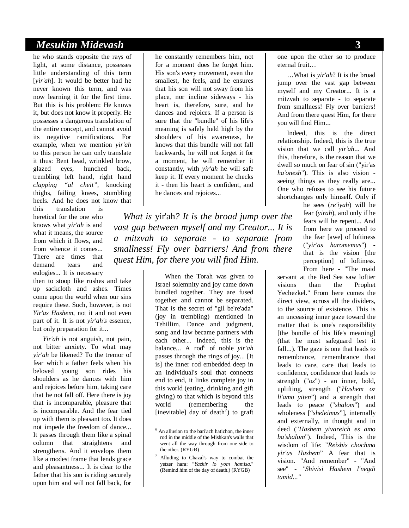#### *Mesukim Midevash* **3**

he who stands opposite the rays of light, at some distance, possesses little understanding of this term [*yir'ah*]. It would be better had he never known this term, and was now learning it for the first time. But this is his problem: He knows it, but does not know it properly. He possesses a dangerous translation of the entire concept, and cannot avoid its negative ramifications. For example, when we mention *yir'ah* to this person he can only translate it thus: Bent head, wrinkled brow, glazed eyes, hunched back, trembling left hand, right hand *clapping "al cheit"*, knocking thighs, failing knees, stumbling heels. And he does not know that

this translation is heretical for the one who knows what *yir'ah* is and what it means, the source from which it flows, and from whence it comes... There are times that demand tears and eulogies... It is necessary

then to stoop like rushes and take up sackcloth and ashes. Times come upon the world when our sins require these. Such, however, is not *Yir'as Hashem*, not it and not even part of it. It is not *yir'ah's* essence, but only preparation for it...

*Yir'ah* is not anguish, not pain, not bitter anxiety. To what may *yir'ah* be likened? To the tremor of fear which a father feels when his beloved young son rides his shoulders as he dances with him and rejoices before him, taking care that he not fall off. Here there is joy that is incomparable, pleasure that is incomparable. And the fear tied up with them is pleasant too. It does not impede the freedom of dance... It passes through them like a spinal column that straightens and strengthens. And it envelops them like a modest frame that lends grace and pleasantness... It is clear to the father that his son is riding securely upon him and will not fall back, for

he constantly remembers him, not for a moment does he forget him. His son's every movement, even the smallest, he feels, and he ensures that his son will not sway from his place, nor incline sideways - his heart is, therefore, sure, and he dances and rejoices. If a person is sure that the "bundle" of his life's meaning is safely held high by the shoulders of his awareness, he knows that this bundle will not fall backwards, he will not forget it for a moment, he will remember it constantly, with *yir'ah* he will safe keep it. If every moment he checks it - then his heart is confident, and he dances and rejoices...

*What is* yir'ah*? It is the broad jump over the vast gap between myself and my Creator... It is a mitzvah to separate - to separate from smallness! Fly over barriers! And from there quest Him, for there you will find Him.*

> When the Torah was given to Israel solemnity and joy came down bundled together. They are fused together and cannot be separated. That is the secret of "gil be're'ada" (joy in trembling) mentioned in Tehillim. Dance and judgment, song and law became partners with each other... Indeed, this is the balance... A rod*<sup>6</sup>* of noble *yir'ah* passes through the rings of joy... [It is] the inner rod embedded deep in an individual's soul that connects end to end, it links complete joy in this world (eating, drinking and gift giving) to that which is beyond this world (remembering the [inevitable] day of death*<sup>7</sup>* ) to graft

 $\overline{a}$ 

one upon the other so to produce eternal fruit…

…What is *yir'ah*? It is the broad jump over the vast gap between myself and my Creator... It is a mitzvah to separate - to separate from smallness! Fly over barriers! And from there quest Him, for there you will find Him...

Indeed, this is the direct relationship. Indeed, this is the true vision that we call *yir'ah*... And this, therefore, is the reason that we dwell so much on fear of sin ("yir'as *ha'onesh*"). This is also vision seeing things as they really are... One who refuses to see his future shortchanges only himself. Only if

he sees (*re'iyah*) will he fear (*yirah*), and only if he fears will he repent... And from here we proceed to the fear [awe] of loftiness ("*yir'as haromemus*") that is the vision [the perception] of loftiness. From here - "The maid

servant at the Red Sea saw loftier visions than the Prophet Yechezkel." From here comes the direct view, across all the dividers, to the source of existence. This is an unceasing inner gaze toward the matter that is one's responsibility [the bundle of his life's meaning] (that he must safeguard lest it fall...). The gaze is one that leads to remembrance, remembrance that leads to care, care that leads to confidence, confidence that leads to strength ("*oz*") - an inner, bold, uplifting, strength ("*Hashem oz li'amo yiten*") and a strength that leads to peace ("*shalom*") and wholeness ["*sheleimus*"], internally and externally, in thought and in deed ("*Hashem yivareich es amo ba'shalom*"). Indeed, This is the wisdom of life: "*Reishis chochma yir'as Hashem*" A fear that is vision. "And remember" - "And see" - *"Shivisi Hashem l'negdi tamid..."*

 $6$  An allusion to the bari'ach hatichon, the inner rod in the middle of the Mishkan's walls that went all the way through from one side to the other. (RYGB)

<sup>7</sup> Alluding to Chazal's way to combat the yetzer hara: "*Yazkir lo yom hamisa*." (Remind him of the day of death.) (RYGB)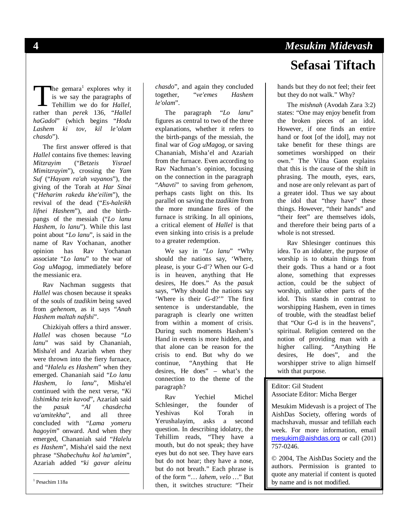he gemara<sup>1</sup> explores why it is we say the paragraphs of Tehillim we do for *Hallel*, The gemara<sup>1</sup> explores why it<br>is we say the paragraphs of<br>Tehillim we do for *Hallel*,<br>rather than *perek* 136, "*Hallel haGadol*" (which begins "*Hodu Lashem ki tov, kil le'olam chasdo*").

The first answer offered is that *Hallel* contains five themes: leaving *Mitzrayim* ("*Betzeis Yisrael Mimitzrayim*"), crossing the *Yam Suf* ("*Hayam ra'ah vayanos*"), the giving of the Torah at *Har Sinai* ("*Heharim rakedu khe'eilim*"), the revival of the dead ("*Es-haleikh lifnei Hashem*"), and the birthpangs of the messiah ("*Lo lanu Hashem, lo lanu*"). While this last point about "*Lo lanu*", is said in the name of Rav Yochanan, another<br>opinion has Rav Yochanan opinion has Rav Yochanan associate "*Lo lanu*" to the war of *Gog uMagog*, immediately before the messianic era.

Rav Nachman suggests that *Hallel* was chosen because it speaks of the souls of *tzadikim* being saved from *gehenom*, as it says "*Anah Hashem maltah nafshi*".

Chizkiyah offers a third answer. *Hallel* was chosen because "*Lo lanu*" was said by Chananiah, Misha'el and Azariah when they were thrown into the fiery furnace, and "*Halelu es Hashem*" when they emerged. Chananiah said "*Lo lanu Hashem, lo lanu*", Misha'el continued with the next verse, "*Ki lishimkha tein kavod*", Azariah said the *pasuk* "*Al chasdecha va'amitekha*", and all three concluded with "*Lama yomeru hagoyim*" onward. And when they emerged, Chananiah said "*Halelu es Hashem*", Misha'el said the next phrase "*Shabechuhu kol ha'umim*", Azariah added "*ki gavar aleinu* 

<sup>1</sup> Pesachim 118a

l

*chasdo*", and again they concluded together, "*ve'emes Hashem le'olam*".

The paragraph "*Lo lanu*" figures as central to two of the three explanations, whether it refers to the birth-pangs of the messiah, the final war of *Gog uMagog*, or saving Chananiah, Misha'el and Azariah from the furnace. Even according to Rav Nachman's opinion, focusing on the connection in the paragraph "*Ahavti*" to saving from *gehenom*, perhaps casts light on this. Its parallel on saving the *tzadikim* from the more mundane fires of the furnace is striking. In all opinions, a critical element of *Hallel* is that even sinking into crisis is a prelude to a greater redemption.

We say in "*Lo lanu*" "Why should the nations say, 'Where, please, is your G-d'? When our G-d is in heaven, anything that He desires, He does." As the *pasuk* says, "Why should the nations say 'Where is their G-d?'" The first sentence is understandable, the paragraph is clearly one written from within a moment of crisis. During such moments Hashem's Hand in events is more hidden, and that alone can be reason for the crisis to end. But why do we continue, "Anything that He desires, He does" – what's the connection to the theme of the paragraph?

Rav Yechiel Michel Schlesinger, the founder of Yeshivas Kol Torah in Yerushalayim, asks a second question. In describing idolatry, the Tehillim reads, "They have a mouth, but do not speak; they have eyes but do not see. They have ears but do not hear; they have a nose, but do not breath." Each phrase is of the form "… *lahem, velo …*" But then, it switches structure: "Their

# **4** *Mesukim Midevash* **Sefasai Tiftach**

hands but they do not feel; their feet but they do not walk." Why?

The *mishnah* (Avodah Zara 3:2) states: "One may enjoy benefit from the broken pieces of an idol. However, if one finds an entire hand or foot [of the idol], may not take benefit for these things are sometimes worshipped on their own." The Vilna Gaon explains that this is the cause of the shift in phrasing. The mouth, eyes, ears, and nose are only relevant as part of a greater idol. Thus we say about the idol that "they have" these things. However, "their hands" and "their feet" are themselves idols, and therefore their being parts of a whole is not stressed.

Rav Shlesinger continues this idea. To an idolater, the purpose of worship is to obtain things from their gods. Thus a hand or a foot alone, something that expresses action, could be the subject of worship, unlike other parts of the idol. This stands in contrast to worshipping Hashem, even in times of trouble, with the steadfast belief that "Our G-d is in the heavens", spiritual. Religion centered on the notion of providing man with a higher calling. "Anything He desires, He does", and the worshipper strive to align himself with that purpose.

Editor: Gil Student

Associate Editor: Micha Berger

Mesukim Midevash is a project of The AishDas Society, offering words of machshavah, mussar and tefillah each week. For more information, email [mesukim@aishdas.org](mailto:mesukim@aishdas.org) or call (201) 757-0246.

© 2004, The AishDas Society and the authors. Permission is granted to quote any material if content is quoted by name and is not modified.